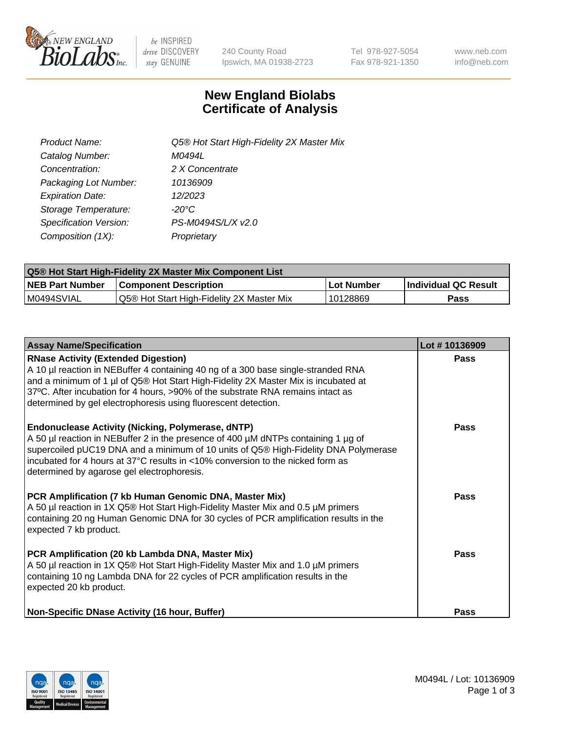

 $be$  INSPIRED drive DISCOVERY stay GENUINE

240 County Road Ipswich, MA 01938-2723 Tel 978-927-5054 Fax 978-921-1350 www.neb.com info@neb.com

## **New England Biolabs Certificate of Analysis**

| Product Name:           | Q5® Hot Start High-Fidelity 2X Master Mix |
|-------------------------|-------------------------------------------|
| Catalog Number:         | M0494L                                    |
| Concentration:          | 2 X Concentrate                           |
| Packaging Lot Number:   | 10136909                                  |
| <b>Expiration Date:</b> | 12/2023                                   |
| Storage Temperature:    | $-20^{\circ}$ C                           |
| Specification Version:  | PS-M0494S/L/X v2.0                        |
| Composition (1X):       | Proprietary                               |

| Q5® Hot Start High-Fidelity 2X Master Mix Component List |                                           |             |                      |  |  |
|----------------------------------------------------------|-------------------------------------------|-------------|----------------------|--|--|
| <b>NEB Part Number</b>                                   | <b>Component Description</b>              | ∣Lot Number | Individual QC Result |  |  |
| I M0494SVIAL                                             | Q5® Hot Start High-Fidelity 2X Master Mix | 10128869    | Pass                 |  |  |

| <b>Assay Name/Specification</b>                                                                                                                                                                                                                                                                                                                                            | Lot #10136909 |
|----------------------------------------------------------------------------------------------------------------------------------------------------------------------------------------------------------------------------------------------------------------------------------------------------------------------------------------------------------------------------|---------------|
| <b>RNase Activity (Extended Digestion)</b><br>A 10 µl reaction in NEBuffer 4 containing 40 ng of a 300 base single-stranded RNA<br>and a minimum of 1 µl of Q5® Hot Start High-Fidelity 2X Master Mix is incubated at<br>37°C. After incubation for 4 hours, >90% of the substrate RNA remains intact as<br>determined by gel electrophoresis using fluorescent detection. | <b>Pass</b>   |
| Endonuclease Activity (Nicking, Polymerase, dNTP)<br>A 50 µl reaction in NEBuffer 2 in the presence of 400 µM dNTPs containing 1 µg of<br>supercoiled pUC19 DNA and a minimum of 10 units of Q5® High-Fidelity DNA Polymerase<br>incubated for 4 hours at 37°C results in <10% conversion to the nicked form as<br>determined by agarose gel electrophoresis.              | Pass          |
| PCR Amplification (7 kb Human Genomic DNA, Master Mix)<br>A 50 µl reaction in 1X Q5® Hot Start High-Fidelity Master Mix and 0.5 µM primers<br>containing 20 ng Human Genomic DNA for 30 cycles of PCR amplification results in the<br>expected 7 kb product.                                                                                                               | Pass          |
| PCR Amplification (20 kb Lambda DNA, Master Mix)<br>A 50 µl reaction in 1X Q5® Hot Start High-Fidelity Master Mix and 1.0 µM primers<br>containing 10 ng Lambda DNA for 22 cycles of PCR amplification results in the<br>expected 20 kb product.                                                                                                                           | Pass          |
| Non-Specific DNase Activity (16 hour, Buffer)                                                                                                                                                                                                                                                                                                                              | Pass          |

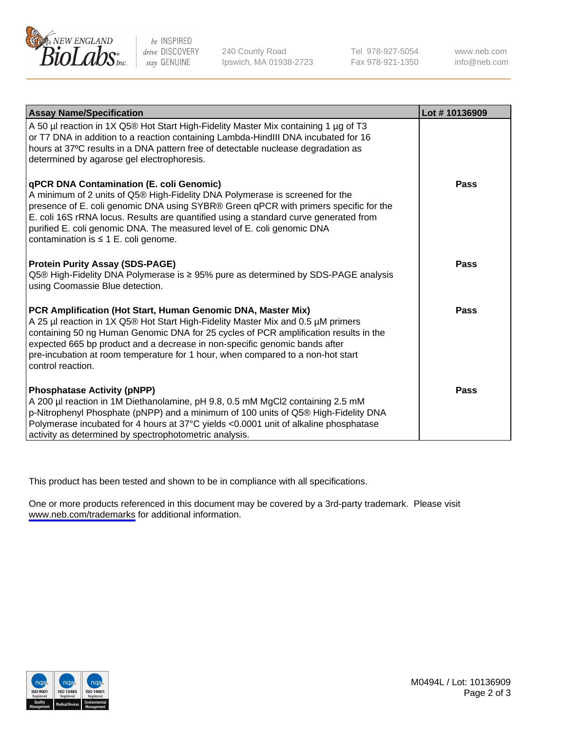

be INSPIRED drive DISCOVERY stay GENUINE

240 County Road Ipswich, MA 01938-2723 Tel 978-927-5054 Fax 978-921-1350

www.neb.com info@neb.com

| <b>Assay Name/Specification</b>                                                                                                                                                                                                                                                                                                                                                                                                         | Lot #10136909 |
|-----------------------------------------------------------------------------------------------------------------------------------------------------------------------------------------------------------------------------------------------------------------------------------------------------------------------------------------------------------------------------------------------------------------------------------------|---------------|
| A 50 µl reaction in 1X Q5® Hot Start High-Fidelity Master Mix containing 1 µg of T3<br>or T7 DNA in addition to a reaction containing Lambda-HindIII DNA incubated for 16<br>hours at 37°C results in a DNA pattern free of detectable nuclease degradation as<br>determined by agarose gel electrophoresis.                                                                                                                            |               |
| <b>qPCR DNA Contamination (E. coli Genomic)</b><br>A minimum of 2 units of Q5® High-Fidelity DNA Polymerase is screened for the<br>presence of E. coli genomic DNA using SYBR® Green qPCR with primers specific for the<br>E. coli 16S rRNA locus. Results are quantified using a standard curve generated from<br>purified E. coli genomic DNA. The measured level of E. coli genomic DNA<br>contamination is $\leq 1$ E. coli genome. | <b>Pass</b>   |
| <b>Protein Purity Assay (SDS-PAGE)</b><br>Q5® High-Fidelity DNA Polymerase is ≥ 95% pure as determined by SDS-PAGE analysis<br>using Coomassie Blue detection.                                                                                                                                                                                                                                                                          | Pass          |
| PCR Amplification (Hot Start, Human Genomic DNA, Master Mix)<br>A 25 µl reaction in 1X Q5® Hot Start High-Fidelity Master Mix and 0.5 µM primers<br>containing 50 ng Human Genomic DNA for 25 cycles of PCR amplification results in the<br>expected 665 bp product and a decrease in non-specific genomic bands after<br>pre-incubation at room temperature for 1 hour, when compared to a non-hot start<br>control reaction.          | Pass          |
| <b>Phosphatase Activity (pNPP)</b><br>A 200 µl reaction in 1M Diethanolamine, pH 9.8, 0.5 mM MgCl2 containing 2.5 mM<br>p-Nitrophenyl Phosphate (pNPP) and a minimum of 100 units of Q5® High-Fidelity DNA<br>Polymerase incubated for 4 hours at 37°C yields <0.0001 unit of alkaline phosphatase<br>activity as determined by spectrophotometric analysis.                                                                            | Pass          |

This product has been tested and shown to be in compliance with all specifications.

One or more products referenced in this document may be covered by a 3rd-party trademark. Please visit <www.neb.com/trademarks>for additional information.